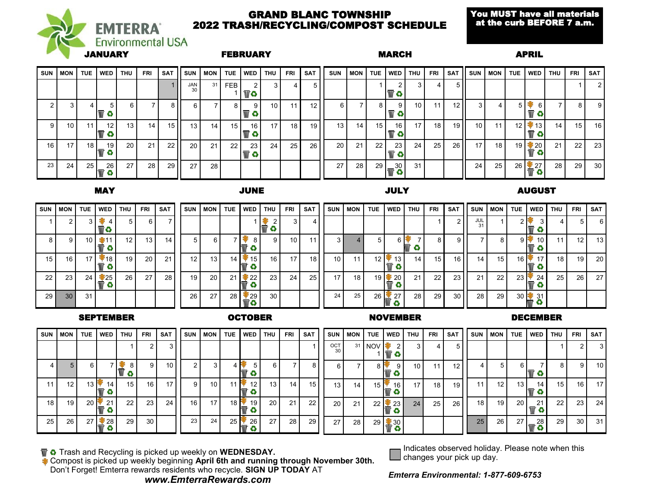

#### GRAND BLANC TOWNSHIP 2022 TRASH/RECYCLING/COMPOST SCHEDULE

You MUST have all materials at the curb BEFORE 7 a.m.

| SUN  | <b>MON</b>      | TUE             | WED             | THU             | <b>FRI</b> | <b>SAT</b>      | <b>SUN</b>      | <b>MON</b> | <b>TUE</b> | l WED          | <b>THU</b>      | <b>FRI</b>      | <b>SAT</b>      | <b>SUN</b>      | I MON I         | TUE I           | WED THU |                 | <b>FRI</b>      | <b>SAT</b>      | <b>SUN</b>      | <b>MON</b> | <b>TUE</b> | WED                                    | <b>THU</b> | <b>FRI</b>      | <b>SAT</b> |
|------|-----------------|-----------------|-----------------|-----------------|------------|-----------------|-----------------|------------|------------|----------------|-----------------|-----------------|-----------------|-----------------|-----------------|-----------------|---------|-----------------|-----------------|-----------------|-----------------|------------|------------|----------------------------------------|------------|-----------------|------------|
|      |                 |                 |                 |                 |            |                 | JAN<br>30       | 31         | <b>FEB</b> | 2 <sup>1</sup> | 3               | 4               | 5               |                 |                 |                 |         | 3               | 4.              | 51              |                 |            |            |                                        |            |                 | -2         |
|      |                 |                 |                 | 6               |            |                 | 6 I             |            | 8 I        | -91            | 10 <sup>1</sup> | 11              | 12 <sub>1</sub> | 6               |                 | 8 I             |         | 10 <sub>1</sub> |                 | 12 <sub>1</sub> |                 |            |            | 6<br>$\bullet$                         |            | 8 I             | -9         |
| 9    | 10 <sup>1</sup> |                 | 12.             | 13 I            | 14         | 15 H            | 13 <sup>1</sup> | 14         | 15 I       | 16 I           | 17 <sup>1</sup> | 18 I            | 19 <sup>1</sup> | 13 <sup>1</sup> | 14 <sup>1</sup> | 15 <sup>1</sup> | 16      | 17 <sup>1</sup> | 18 I            | 19 II           | 10 <sup>1</sup> | 11         |            | $12$   $\frac{1}{2}$ 13  <br>$\bullet$ | 14 I       | 15 <sup>1</sup> | 16         |
| 16 I | 17              | 18 I            | 19              | 20 <sup>1</sup> | 21         | 22 <sub>1</sub> | 20 <sup>1</sup> | 21         | $22 \mid$  | 23 I<br>Œ3     | 24              | 25 <sub>1</sub> | 26 <sup>1</sup> | 20 <sup>1</sup> | 21              | 22 <sub>1</sub> | 23      | 24 <sup>1</sup> | 25 <sub>1</sub> | 26              | 17              | 18         |            | $\frac{19}{10}$ 20                     | 21         | 22 <sub>1</sub> | - 23       |
| 23 l | 24              | 25 <sub>1</sub> | 26 <sub>1</sub> | 27 <sup>1</sup> | 28         | 29 H            | 27              | 28         |            |                |                 |                 |                 | <b>27</b>       | 28              | 29 <sub>1</sub> | 30      | 31              |                 |                 | 24              | 25         |            | $26 \frac{27}{3}$                      | 28 I       | 29 <sup>1</sup> | 30         |

MAY JUNE JULY AUGUST

| <b>SUN</b>      | <b>MON</b>      |                 | TUE I WED   | <b>THU</b>      | <b>FRI</b>      | <b>SAT</b>      |                 | <b>SUN MON</b>        | <b>TUE</b> | l WED                   | THU             | <b>FRI</b>      | SAT             | <b>SUN</b>      | <b>MON</b>      | <b>TUE</b>           | <b>WED</b>         | THU             | <b>FRI</b>      | SAT             | <b>SUN</b> I | MON TUE   |                     | WED I                           | <b>THU</b>      | FRI             | SAT       |
|-----------------|-----------------|-----------------|-------------|-----------------|-----------------|-----------------|-----------------|-----------------------|------------|-------------------------|-----------------|-----------------|-----------------|-----------------|-----------------|----------------------|--------------------|-----------------|-----------------|-----------------|--------------|-----------|---------------------|---------------------------------|-----------------|-----------------|-----------|
|                 |                 | 3 I             | 4 I         | 5 <sub>l</sub>  | 61              |                 |                 |                       |            |                         | Ø               | 3 I             |                 |                 |                 |                      |                    |                 |                 |                 | $JUL$ 31     |           |                     | 3 I<br>63                       |                 | <sup>5</sup>    | - 6       |
|                 | 9               | 10 <sub>1</sub> |             | 12 <sub>1</sub> | 13 <sup>1</sup> | 14 <sup>1</sup> |                 | 5 <sub>1</sub><br>6 I |            |                         |                 | 10 <sub>1</sub> | 11              | 3 I             |                 |                      | 6F                 |                 | 8               | ا 9             |              |           | $9 \mid \mathbb{R}$ | 10 <sup>1</sup><br>↔            | 11              | 12 <sub>1</sub> | 13        |
| 15              | 16 <sup>1</sup> | 17 I            | $\sqrt{18}$ | 19              | 20 <sub>1</sub> | 21              | 12 <sub>1</sub> | 13 <sup>1</sup>       |            | $14$   $\frac{1}{2}$ 15 | 16              | 17 <sub>1</sub> | 18 <sup>1</sup> | 10 <sup>1</sup> | 11 <sup>1</sup> | 12 $\mathbf{\hat{}}$ | 13 <br>Ð           | 14 <sub>1</sub> | 15 <sup>1</sup> | 16 I I          | 14           | 15 I      | $16 \, \text{F}$    | 17 <sup>1</sup><br>$\bullet$    | 18 I            | 19              | <b>20</b> |
| 22              | 23 <sup>1</sup> | $24 \mid$       | 25          | 261             | 27              | 28 l            | 19 <sup>1</sup> | 20 <sub>1</sub>       | 21         | $\approx 22$            | 23              | 24              | 25 <sub>1</sub> | 17 <sup>1</sup> | 18 I            | 19                   | $\cdot$ 20 $\vert$ | 21              | 22 <sub>1</sub> | 23 <sup>1</sup> | 21           | $22 \mid$ | $23 +$              | $^{\prime}$ 24 $\parallel$<br>↔ | 25 <sup>1</sup> | 26              | 27        |
| 29 <sub>1</sub> | 30 <sub>1</sub> | 31              |             |                 |                 |                 | 26              | 27                    | 28         | $\frac{29}{1}$          | 30 <sup>1</sup> |                 |                 | $24 \,$         | $25 \mid$       |                      | $26 \div 27$<br>Œ3 | 28 <sup>1</sup> | 29 <sub>1</sub> | 30 <sup>1</sup> | 28           | -29 I     |                     | $30 \frac{1}{100} 31$<br>o      |                 |                 |           |

SEPTEMBER OCTOBER NOVEMBER DECEMBER

| <b>SUN</b>      | MON               | TUE                | <b>WED</b>       | <b>THU</b>      | <b>FRI</b>      | <b>SAT</b>      | <b>SUN</b> | <b>MON</b>      | <b>TUE</b>                       | l WED           | THU             | <b>FRI</b>      | SAT             | <b>SUN</b>      | <b>MON</b> | I I TUE              | WED                 | <b>THU</b>      | <b>FRI</b>      | <b>SAT</b>      |                 | SUN   MON      | TUE             | WED THU           |           | FRI             | SAT   |
|-----------------|-------------------|--------------------|------------------|-----------------|-----------------|-----------------|------------|-----------------|----------------------------------|-----------------|-----------------|-----------------|-----------------|-----------------|------------|----------------------|---------------------|-----------------|-----------------|-----------------|-----------------|----------------|-----------------|-------------------|-----------|-----------------|-------|
|                 |                   |                    |                  |                 |                 |                 |            |                 |                                  |                 |                 |                 |                 | OCT             |            | 31 NOV 3             | 2 <sub>1</sub><br>≎ | 3 I             | 4 I             |                 |                 |                |                 |                   |           |                 | 31    |
|                 |                   | 6                  |                  | 8               | 9               | 10 I            |            |                 |                                  |                 | 6               |                 | 8               | 6 I             |            | 81                   | 9.                  | 10 <sup>1</sup> | 11              | 121             | 4               | 5 <sup>1</sup> | 6 I             |                   |           | 9               | 10 I  |
| 11              | $12 \overline{ }$ | $13 \, \mathrm{F}$ | 14               | 15 <sup>1</sup> | 16 <sup>1</sup> | 171.            | -9 I       | 10 <sup>1</sup> | $11$ +                           | 12 <sup>1</sup> | 13 I            | 14 <sup>1</sup> | 15 <sup>1</sup> | 13 <sub>1</sub> | 14         | $15$   $\frac{1}{2}$ | 16                  | 17 <sub>1</sub> | 18              | 19 <sup>1</sup> | 11 <sub>1</sub> | -12 I          | 13 I            | 14 I              | 15 I      | 16 <sup>1</sup> | 171   |
| 18 <sup>1</sup> | 19                | 2017               | 21               | 22 <sub>1</sub> | $23 \mid$       | 24 <sup>1</sup> | 16 I       | 17              | $18 \frac{1}{3}$                 | 19 I            | 20 <sub>1</sub> | 21 <sub>1</sub> | 221             | 20              | 21         | $22 \mid$            | F 23 I              | 24              | 25 <sub>1</sub> | 261             | 18 <sup>1</sup> | 19 I           | 20 <sup>1</sup> | 21<br>o           | $22 \mid$ | 231             | -24 I |
| 25              | 26 <sub>1</sub>   | 27 <sup>1</sup>    | $\frac{1}{2}$ 28 | 29              | 30              |                 | 23         | 24              | $25 \,$ $\overline{\phantom{a}}$ | 26 I            | 27              | 28 <sup>1</sup> | 29 <sub>l</sub> | 27              | 28 I       |                      | $29 \times 30$<br>≎ |                 |                 |                 | 25              | <b>26</b>      | 27 I            | $1\frac{28}{100}$ | <b>29</b> | -30 I           | 31    |

**The Strash and Recycling is picked up weekly on WEDNESDAY.** 

Compost is picked up weekly beginning **April 6th and running through November 30th.** Don't Forget! Emterra rewards residents who recycle. **SIGN UP TODAY** AT



Indicates observed holiday. Please note when this changes your pick up day.

*Emterra Environmental: 1-877-609-6753*